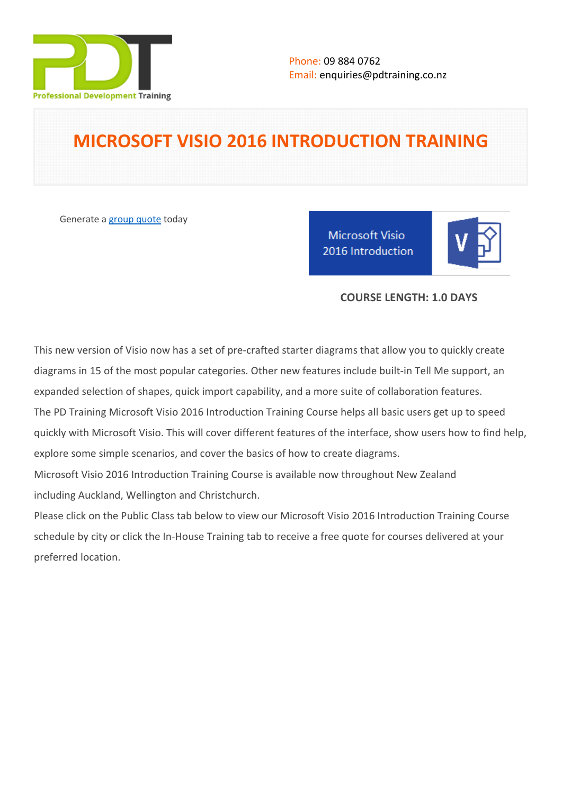

# **MICROSOFT VISIO 2016 INTRODUCTION TRAINING**

Generate a [group quote](https://pdtraining.co.nz/inhouse-training-quote?cse=MSV16INT) today

Microsoft Visio 2016 Introduction

# **COURSE LENGTH: 1.0 DAYS**

This new version of Visio now has a set of pre-crafted starter diagrams that allow you to quickly create diagrams in 15 of the most popular categories. Other new features include built-in Tell Me support, an expanded selection of shapes, quick import capability, and a more suite of collaboration features. The PD Training Microsoft Visio 2016 Introduction Training Course helps all basic users get up to speed quickly with Microsoft Visio. This will cover different features of the interface, show users how to find help, explore some simple scenarios, and cover the basics of how to create diagrams.

Microsoft Visio 2016 Introduction Training Course is available now throughout New Zealand including Auckland, Wellington and Christchurch.

Please click on the Public Class tab below to view our Microsoft Visio 2016 Introduction Training Course schedule by city or click the In-House Training tab to receive a free quote for courses delivered at your preferred location.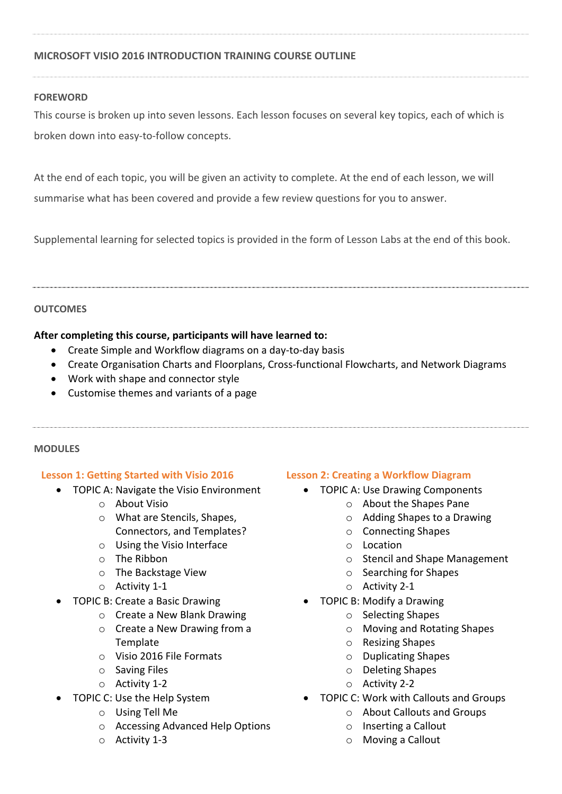# **MICROSOFT VISIO 2016 INTRODUCTION TRAINING COURSE OUTLINE**

# **FOREWORD**

This course is broken up into seven lessons. Each lesson focuses on several key topics, each of which is broken down into easy-to-follow concepts.

At the end of each topic, you will be given an activity to complete. At the end of each lesson, we will summarise what has been covered and provide a few review questions for you to answer.

Supplemental learning for selected topics is provided in the form of Lesson Labs at the end of this book.

#### **OUTCOMES**

# **After completing this course, participants will have learned to:**

- Create Simple and Workflow diagrams on a day-to-day basis
- Create Organisation Charts and Floorplans, Cross-functional Flowcharts, and Network Diagrams
- Work with shape and connector style
- Customise themes and variants of a page

#### **MODULES**

#### **Lesson 1: Getting Started with Visio 2016**

- TOPIC A: Navigate the Visio Environment
	- o About Visio
	- o What are Stencils, Shapes, Connectors, and Templates?
	- o Using the Visio Interface
	- o The Ribbon
	- o The Backstage View
	- o Activity 1-1
- TOPIC B: Create a Basic Drawing
	- o Create a New Blank Drawing
	- o Create a New Drawing from a Template
	- o Visio 2016 File Formats
	- o Saving Files
	- o Activity 1-2
- TOPIC C: Use the Help System
	- o Using Tell Me
	- o Accessing Advanced Help Options
	- o Activity 1-3

# **Lesson 2: Creating a Workflow Diagram**

- TOPIC A: Use Drawing Components
	- o About the Shapes Pane
	- o Adding Shapes to a Drawing
	- o Connecting Shapes
	- o Location
	- o Stencil and Shape Management
	- o Searching for Shapes
	- o Activity 2-1
	- TOPIC B: Modify a Drawing
		- o Selecting Shapes
		- o Moving and Rotating Shapes
		- o Resizing Shapes
		- o Duplicating Shapes
		- o Deleting Shapes
		- o Activity 2-2
	- TOPIC C: Work with Callouts and Groups
		- o About Callouts and Groups
		- o Inserting a Callout
		- o Moving a Callout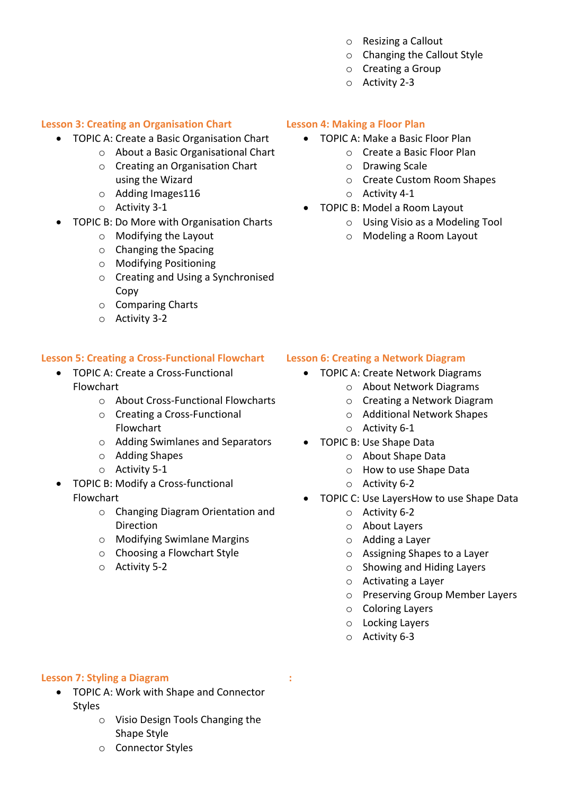- o Resizing a Callout
- o Changing the Callout Style
- o Creating a Group
- o Activity 2-3

# **Lesson 3: Creating an Organisation Chart**

- TOPIC A: Create a Basic Organisation Chart
	- o About a Basic Organisational Chart
	- o Creating an Organisation Chart using the Wizard
	- o Adding Images116
	- o Activity 3-1
- TOPIC B: Do More with Organisation Charts
	- o Modifying the Layout
	- o Changing the Spacing
	- o Modifying Positioning
	- o Creating and Using a Synchronised Copy
	- o Comparing Charts
	- o Activity 3-2

# **Lesson 5: Creating a Cross-Functional Flowchart**

- TOPIC A: Create a Cross-Functional Flowchart
	- o About Cross-Functional Flowcharts
	- o Creating a Cross-Functional Flowchart
	- o Adding Swimlanes and Separators
	- o Adding Shapes
	- o Activity 5-1
- TOPIC B: Modify a Cross-functional Flowchart
	- o Changing Diagram Orientation and Direction
	- o Modifying Swimlane Margins
	- o Choosing a Flowchart Style
	- o Activity 5-2

# **Lesson 4: Making a Floor Plan**

- TOPIC A: Make a Basic Floor Plan
	- o Create a Basic Floor Plan
	- o Drawing Scale
	- o Create Custom Room Shapes
	- o Activity 4-1
- TOPIC B: Model a Room Layout
	- o Using Visio as a Modeling Tool
	- o Modeling a Room Layout

# **Lesson 6: Creating a Network Diagram**

- TOPIC A: Create Network Diagrams
	- o About Network Diagrams
	- o Creating a Network Diagram
	- o Additional Network Shapes
	- o Activity 6-1
- TOPIC B: Use Shape Data
	- o About Shape Data
	- o How to use Shape Data
	- o Activity 6-2
- TOPIC C: Use LayersHow to use Shape Data
	- o Activity 6-2
	- o About Layers
	- o Adding a Layer
	- o Assigning Shapes to a Layer
	- o Showing and Hiding Layers
	- o Activating a Layer
	- o Preserving Group Member Layers
	- o Coloring Layers
	- o Locking Layers
	- o Activity 6-3

 **:** 

#### **Lesson 7: Styling a Diagram**

- TOPIC A: Work with Shape and Connector Styles
	- o Visio Design Tools Changing the Shape Style
	- o Connector Styles